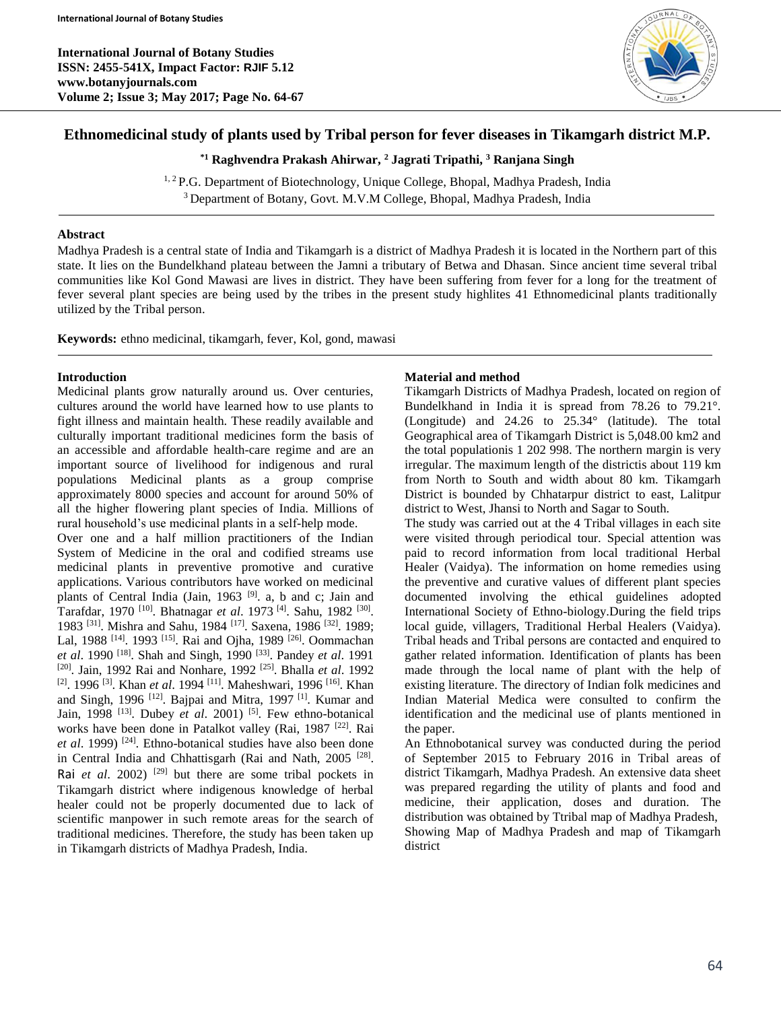**International Journal of Botany Studies ISSN: 2455-541X, Impact Factor: RJIF 5.12 www.botanyjournals.com Volume 2; Issue 3; May 2017; Page No. 64-67**



# **Ethnomedicinal study of plants used by Tribal person for fever diseases in Tikamgarh district M.P.**

**\*1 Raghvendra Prakash Ahirwar, <sup>2</sup> Jagrati Tripathi, <sup>3</sup> Ranjana Singh**

<sup>1, 2</sup> P.G. Department of Biotechnology, Unique College, Bhopal, Madhya Pradesh, India <sup>3</sup> Department of Botany, Govt. M.V.M College, Bhopal, Madhya Pradesh, India

#### **Abstract**

Madhya Pradesh is a central state of India and Tikamgarh is a district of Madhya Pradesh it is located in the Northern part of this state. It lies on the Bundelkhand plateau between the Jamni a tributary of Betwa and Dhasan. Since ancient time several tribal communities like Kol Gond Mawasi are lives in district. They have been suffering from fever for a long for the treatment of fever several plant species are being used by the tribes in the present study highlites 41 Ethnomedicinal plants traditionally utilized by the Tribal person.

**Keywords:** ethno medicinal, tikamgarh, fever, Kol, gond, mawasi

## **Introduction**

Medicinal plants grow naturally around us. Over centuries, cultures around the world have learned how to use plants to fight illness and maintain health. These readily available and culturally important traditional medicines form the basis of an accessible and affordable health-care regime and are an important source of livelihood for indigenous and rural populations Medicinal plants as a group comprise approximately 8000 species and account for around 50% of all the higher flowering plant species of India. Millions of rural household's use medicinal plants in a self-help mode.

Over one and a half million practitioners of the Indian System of Medicine in the oral and codified streams use medicinal plants in preventive promotive and curative applications. Various contributors have worked on medicinal plants of Central India (Jain, 1963<sup>[9]</sup>. a, b and c; Jain and Tarafdar, 1970<sup>[10]</sup>. Bhatnagar *et al.* 1973<sup>[4]</sup>. Sahu, 1982<sup>[30]</sup>. 1983<sup>[31]</sup>. Mishra and Sahu, 1984<sup>[17]</sup>. Saxena, 1986<sup>[32]</sup>. 1989; Lal, 1988<sup>[14]</sup>. 1993<sup>[15]</sup>. Rai and Ojha, 1989<sup>[26]</sup>. Oommachan *et al*. 1990 [18] . Shah and Singh, 1990 [33] . Pandey *et al*. 1991 [20] . Jain, 1992 Rai and Nonhare, 1992 [25] . Bhalla *et al*. 1992 <sup>[2]</sup>. 1996<sup>[3]</sup>. Khan *et al.* 1994<sup>[11]</sup>. Maheshwari, 1996<sup>[16]</sup>. Khan and Singh, 1996<sup>[12]</sup>. Bajpai and Mitra, 1997<sup>[1]</sup>. Kumar and Jain, 1998<sup>[13]</sup>. Dubey *et al.* 2001)<sup>[5]</sup>. Few ethno-botanical works have been done in Patalkot valley (Rai, 1987<sup>[22]</sup>. Rai et al. 1999)<sup>[24]</sup>. Ethno-botanical studies have also been done in Central India and Chhattisgarh (Rai and Nath, 2005<sup>[28]</sup>. Rai *et al.* 2002) <sup>[29]</sup> but there are some tribal pockets in Tikamgarh district where indigenous knowledge of herbal healer could not be properly documented due to lack of scientific manpower in such remote areas for the search of traditional medicines. Therefore, the study has been taken up in Tikamgarh districts of Madhya Pradesh, India.

## **Material and method**

Tikamgarh Districts of Madhya Pradesh, located on region of Bundelkhand in India it is spread from 78.26 to 79.21°. (Longitude) and 24.26 to 25.34° (latitude). The total Geographical area of Tikamgarh District is 5,048.00 km2 and the total populationis 1 202 998. The northern margin is very irregular. The maximum length of the districtis about 119 km from North to South and width about 80 km. Tikamgarh District is bounded by Chhatarpur district to east, Lalitpur district to West, Jhansi to North and Sagar to South.

The study was carried out at the 4 Tribal villages in each site were visited through periodical tour. Special attention was paid to record information from local traditional Herbal Healer (Vaidya). The information on home remedies using the preventive and curative values of different plant species documented involving the ethical guidelines adopted International Society of Ethno-biology.During the field trips local guide, villagers, Traditional Herbal Healers (Vaidya). Tribal heads and Tribal persons are contacted and enquired to gather related information. Identification of plants has been made through the local name of plant with the help of existing literature. The directory of Indian folk medicines and Indian Material Medica were consulted to confirm the identification and the medicinal use of plants mentioned in the paper.

An Ethnobotanical survey was conducted during the period of September 2015 to February 2016 in Tribal areas of district Tikamgarh, Madhya Pradesh. An extensive data sheet was prepared regarding the utility of plants and food and medicine, their application, doses and duration. The distribution was obtained by Ttribal map of Madhya Pradesh, Showing Map of Madhya Pradesh and map of Tikamgarh district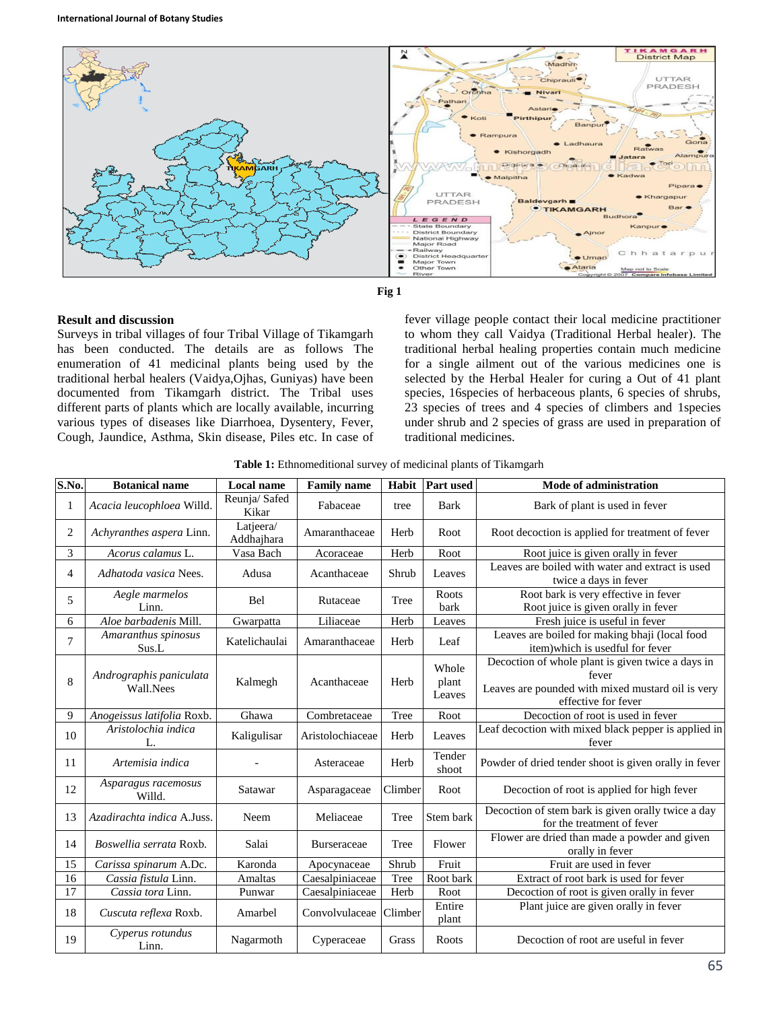



## **Result and discussion**

Surveys in tribal villages of four Tribal Village of Tikamgarh has been conducted. The details are as follows The enumeration of 41 medicinal plants being used by the traditional herbal healers (Vaidya,Ojhas, Guniyas) have been documented from Tikamgarh district. The Tribal uses different parts of plants which are locally available, incurring various types of diseases like Diarrhoea, Dysentery, Fever, Cough, Jaundice, Asthma, Skin disease, Piles etc. In case of

fever village people contact their local medicine practitioner to whom they call Vaidya (Traditional Herbal healer). The traditional herbal healing properties contain much medicine for a single ailment out of the various medicines one is selected by the Herbal Healer for curing a Out of 41 plant species, 16species of herbaceous plants, 6 species of shrubs, 23 species of trees and 4 species of climbers and 1species under shrub and 2 species of grass are used in preparation of traditional medicines.

|  | Table 1: Ethnomeditional survey of medicinal plants of Tikamgarh |  |  |  |
|--|------------------------------------------------------------------|--|--|--|
|  |                                                                  |  |  |  |

| S.No.          | <b>Botanical name</b>                | Local name              | <b>Family name</b> |         | Habit   Part used        | Mode of administration                                                                                                                 |
|----------------|--------------------------------------|-------------------------|--------------------|---------|--------------------------|----------------------------------------------------------------------------------------------------------------------------------------|
| 1              | Acacia leucophloea Willd.            | Reunja/Safed<br>Kikar   | Fabaceae           | tree    | <b>Bark</b>              | Bark of plant is used in fever                                                                                                         |
| 2              | Achyranthes aspera Linn.             | Latjeera/<br>Addhajhara | Amaranthaceae      | Herb    | Root                     | Root decoction is applied for treatment of fever                                                                                       |
| 3              | Acorus calamus L.                    | Vasa Bach               | Acoraceae          | Herb    | Root                     | Root juice is given orally in fever                                                                                                    |
| 4              | Adhatoda vasica Nees.                | Adusa                   | Acanthaceae        | Shrub   | Leaves                   | Leaves are boiled with water and extract is used<br>twice a days in fever                                                              |
| 5              | Aegle marmelos<br>Linn.              | Bel                     | Rutaceae           | Tree    | Roots<br>bark            | Root bark is very effective in fever<br>Root juice is given orally in fever                                                            |
| 6              | Aloe barbadenis Mill.                | Gwarpatta               | Liliaceae          | Herb    | Leaves                   | Fresh juice is useful in fever                                                                                                         |
| $\overline{7}$ | Amaranthus spinosus<br>Sus.L         | Katelichaulai           | Amaranthaceae      | Herb    | Leaf                     | Leaves are boiled for making bhaji (local food<br>item) which is usedful for fever                                                     |
| 8              | Andrographis paniculata<br>Wall.Nees | Kalmegh                 | Acanthaceae        | Herb    | Whole<br>plant<br>Leaves | Decoction of whole plant is given twice a days in<br>fever<br>Leaves are pounded with mixed mustard oil is very<br>effective for fever |
| 9              | Anogeissus latifolia Roxb.           | Ghawa                   | Combretaceae       | Tree    | Root                     | Decoction of root is used in fever                                                                                                     |
| 10             | Aristolochia indica<br>L.            | Kaligulisar             | Aristolochiaceae   | Herb    | Leaves                   | Leaf decoction with mixed black pepper is applied in<br>fever                                                                          |
| 11             | Artemisia indica                     |                         | Asteraceae         | Herb    | Tender<br>shoot          | Powder of dried tender shoot is given orally in fever                                                                                  |
| 12             | Asparagus racemosus<br>Willd.        | Satawar                 | Asparagaceae       | Climber | Root                     | Decoction of root is applied for high fever                                                                                            |
| 13             | Azadirachta indica A.Juss.           | Neem                    | Meliaceae          | Tree    | Stem bark                | Decoction of stem bark is given orally twice a day<br>for the treatment of fever                                                       |
| 14             | Boswellia serrata Roxb.              | Salai                   | <b>Burseraceae</b> | Tree    | Flower                   | Flower are dried than made a powder and given<br>orally in fever                                                                       |
| 15             | Carissa spinarum A.Dc.               | Karonda                 | Apocynaceae        | Shrub   | Fruit                    | Fruit are used in fever                                                                                                                |
| 16             | Cassia fistula Linn.                 | <b>Amaltas</b>          | Caesalpiniaceae    | Tree    | Root bark                | Extract of root bark is used for fever                                                                                                 |
| 17             | Cassia tora Linn.                    | Punwar                  | Caesalpiniaceae    | Herb    | Root                     | Decoction of root is given orally in fever                                                                                             |
| 18             | Cuscuta reflexa Roxb.                | Amarbel                 | Convolvulaceae     | Climber | Entire<br>plant          | Plant juice are given orally in fever                                                                                                  |
| 19             | Cyperus rotundus<br>Linn.            | Nagarmoth               | Cyperaceae         | Grass   | Roots                    | Decoction of root are useful in fever                                                                                                  |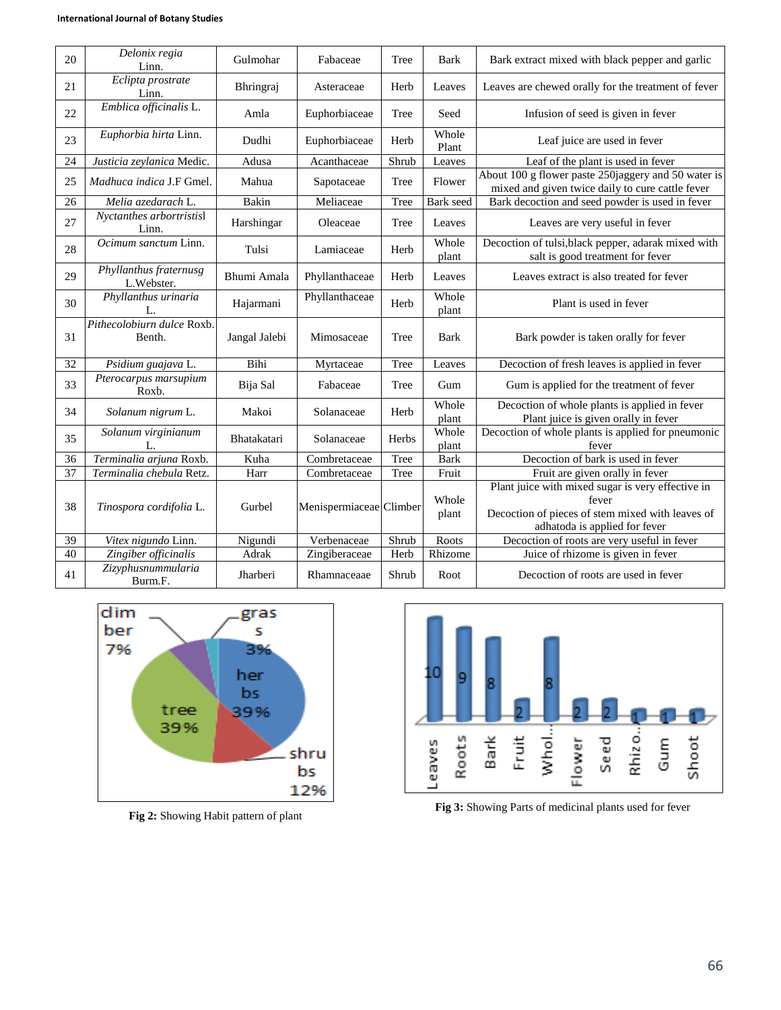| 20 | Delonix regia<br>Linn.                          | Gulmohar      | Fabaceae                | Tree  | <b>Bark</b>          | Bark extract mixed with black pepper and garlic                                                                                                 |
|----|-------------------------------------------------|---------------|-------------------------|-------|----------------------|-------------------------------------------------------------------------------------------------------------------------------------------------|
| 21 | Eclipta prostrate<br>Linn.                      | Bhringraj     | Asteraceae              | Herb  | Leaves               | Leaves are chewed orally for the treatment of fever                                                                                             |
| 22 | Emblica officinalis L.                          | Amla          | Euphorbiaceae           | Tree  | Seed                 | Infusion of seed is given in fever                                                                                                              |
| 23 | Euphorbia hirta Linn.                           | Dudhi         | Euphorbiaceae           | Herb  | Whole<br>Plant       | Leaf juice are used in fever                                                                                                                    |
| 24 | Justicia zeylanica Medic.                       | Adusa         | Acanthaceae             | Shrub | Leaves               | Leaf of the plant is used in fever                                                                                                              |
| 25 | Madhuca indica J.F Gmel.                        | Mahua         | Sapotaceae              | Tree  | Flower               | About 100 g flower paste 250jaggery and 50 water is<br>mixed and given twice daily to cure cattle fever                                         |
| 26 | Melia azedarach L.                              | Bakin         | Meliaceae               | Tree  | Bark seed            | Bark decoction and seed powder is used in fever                                                                                                 |
| 27 | $\overline{N}$ yctanthes arbortristisl<br>Linn. | Harshingar    | Oleaceae                | Tree  | Leaves               | Leaves are very useful in fever                                                                                                                 |
| 28 | Ocimum sanctum Linn.                            | Tulsi         | Lamiaceae               | Herb  | Whole<br>plant       | Decoction of tulsi, black pepper, adarak mixed with<br>salt is good treatment for fever                                                         |
| 29 | Phyllanthus fraternusg<br>L.Webster.            | Bhumi Amala   | Phyllanthaceae          | Herb  | Leaves               | Leaves extract is also treated for fever                                                                                                        |
| 30 | Phyllanthus urinaria<br>L.                      | Hajarmani     | Phyllanthaceae          | Herb  | Whole<br>plant       | Plant is used in fever                                                                                                                          |
|    | Pithecolobiurn dulce Roxb.                      |               |                         |       |                      |                                                                                                                                                 |
| 31 | Benth.                                          | Jangal Jalebi | Mimosaceae              | Tree  | <b>Bark</b>          | Bark powder is taken orally for fever                                                                                                           |
| 32 | Psidium guajava L.                              | Bihi          | Myrtaceae               | Tree  | Leaves               | Decoction of fresh leaves is applied in fever                                                                                                   |
| 33 | Pterocarpus marsupium<br>Roxb.                  | Bija Sal      | Fabaceae                | Tree  | Gum                  | Gum is applied for the treatment of fever                                                                                                       |
| 34 | Solanum nigrum L.                               | Makoi         | Solanaceae              | Herb  | Whole<br>plant       | Decoction of whole plants is applied in fever<br>Plant juice is given orally in fever                                                           |
| 35 | Solanum virginianum<br>L.                       | Bhatakatari   | Solanaceae              | Herbs | Whole                | Decoction of whole plants is applied for pneumonic<br>fever                                                                                     |
| 36 | Terminalia arjuna Roxb.                         | Kuha          | Combretaceae            | Tree  | plant<br><b>Bark</b> | Decoction of bark is used in fever                                                                                                              |
| 37 | Terminalia chebula Retz.                        | Harr          | Combretaceae            | Tree  | Fruit                | Fruit are given orally in fever                                                                                                                 |
| 38 | Tinospora cordifolia L.                         | Gurbel        | Menispermiaceae Climber |       | Whole<br>plant       | Plant juice with mixed sugar is very effective in<br>fever<br>Decoction of pieces of stem mixed with leaves of<br>adhatoda is applied for fever |
| 39 | Vitex nigundo Linn.                             | Nigundi       | Verbenaceae             | Shrub | Roots                | Decoction of roots are very useful in fever                                                                                                     |
| 40 | Zingiber officinalis                            | Adrak         | Zingiberaceae           | Herb  | Rhizome              | Juice of rhizome is given in fever                                                                                                              |



**Fig 2:** Showing Habit pattern of plant



**Fig 3:** Showing Parts of medicinal plants used for fever